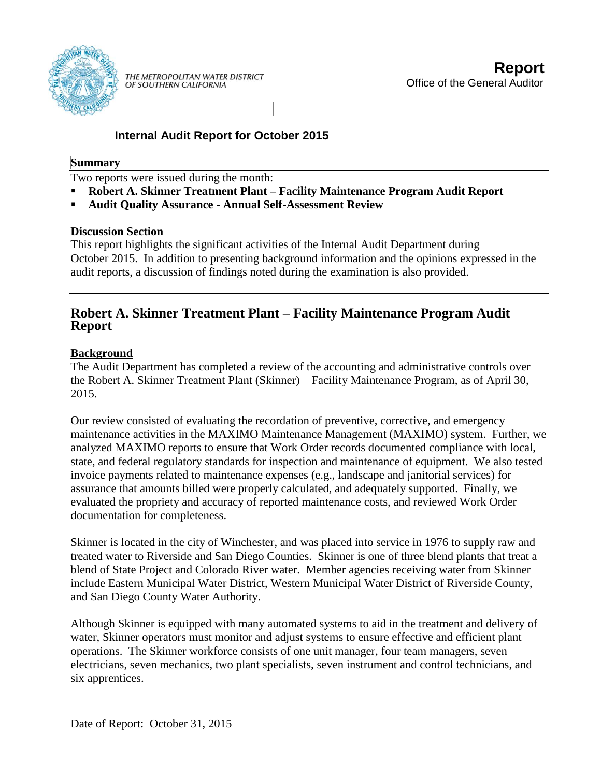

# **Internal Audit Report for October 2015**

## **Summary**

Two reports were issued during the month:

- **Robert A. Skinner Treatment Plant – Facility Maintenance Program Audit Report**
- **Audit Quality Assurance - Annual Self-Assessment Review**

### **Discussion Section**

This report highlights the significant activities of the Internal Audit Department during October 2015. In addition to presenting background information and the opinions expressed in the audit reports, a discussion of findings noted during the examination is also provided.

# **Robert A. Skinner Treatment Plant – Facility Maintenance Program Audit Report**

### **Background**

The Audit Department has completed a review of the accounting and administrative controls over the Robert A. Skinner Treatment Plant (Skinner) – Facility Maintenance Program, as of April 30, 2015.

Our review consisted of evaluating the recordation of preventive, corrective, and emergency maintenance activities in the MAXIMO Maintenance Management (MAXIMO) system. Further, we analyzed MAXIMO reports to ensure that Work Order records documented compliance with local, state, and federal regulatory standards for inspection and maintenance of equipment. We also tested invoice payments related to maintenance expenses (e.g., landscape and janitorial services) for assurance that amounts billed were properly calculated, and adequately supported. Finally, we evaluated the propriety and accuracy of reported maintenance costs, and reviewed Work Order documentation for completeness.

Skinner is located in the city of Winchester, and was placed into service in 1976 to supply raw and treated water to Riverside and San Diego Counties. Skinner is one of three blend plants that treat a blend of State Project and Colorado River water. Member agencies receiving water from Skinner include Eastern Municipal Water District, Western Municipal Water District of Riverside County, and San Diego County Water Authority.

Although Skinner is equipped with many automated systems to aid in the treatment and delivery of water, Skinner operators must monitor and adjust systems to ensure effective and efficient plant operations. The Skinner workforce consists of one unit manager, four team managers, seven electricians, seven mechanics, two plant specialists, seven instrument and control technicians, and six apprentices.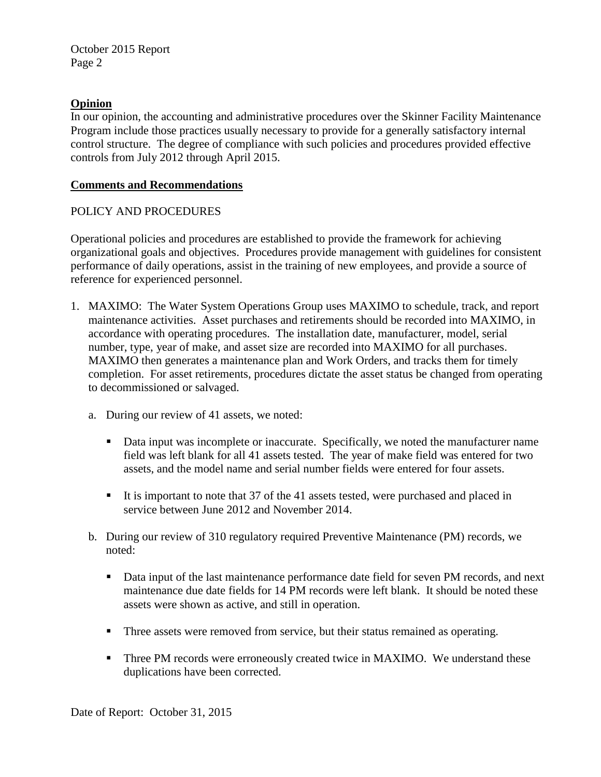October 2015 Report Page 2

#### **Opinion**

In our opinion, the accounting and administrative procedures over the Skinner Facility Maintenance Program include those practices usually necessary to provide for a generally satisfactory internal control structure. The degree of compliance with such policies and procedures provided effective controls from July 2012 through April 2015.

#### **Comments and Recommendations**

#### POLICY AND PROCEDURES

Operational policies and procedures are established to provide the framework for achieving organizational goals and objectives. Procedures provide management with guidelines for consistent performance of daily operations, assist in the training of new employees, and provide a source of reference for experienced personnel.

- 1. MAXIMO: The Water System Operations Group uses MAXIMO to schedule, track, and report maintenance activities. Asset purchases and retirements should be recorded into MAXIMO, in accordance with operating procedures. The installation date, manufacturer, model, serial number, type, year of make, and asset size are recorded into MAXIMO for all purchases. MAXIMO then generates a maintenance plan and Work Orders, and tracks them for timely completion. For asset retirements, procedures dictate the asset status be changed from operating to decommissioned or salvaged.
	- a. During our review of 41 assets, we noted:
		- Data input was incomplete or inaccurate. Specifically, we noted the manufacturer name field was left blank for all 41 assets tested. The year of make field was entered for two assets, and the model name and serial number fields were entered for four assets.
		- It is important to note that 37 of the 41 assets tested, were purchased and placed in service between June 2012 and November 2014.
	- b. During our review of 310 regulatory required Preventive Maintenance (PM) records, we noted:
		- Data input of the last maintenance performance date field for seven PM records, and next maintenance due date fields for 14 PM records were left blank. It should be noted these assets were shown as active, and still in operation.
		- Three assets were removed from service, but their status remained as operating.
		- **Three PM records were erroneously created twice in MAXIMO. We understand these** duplications have been corrected.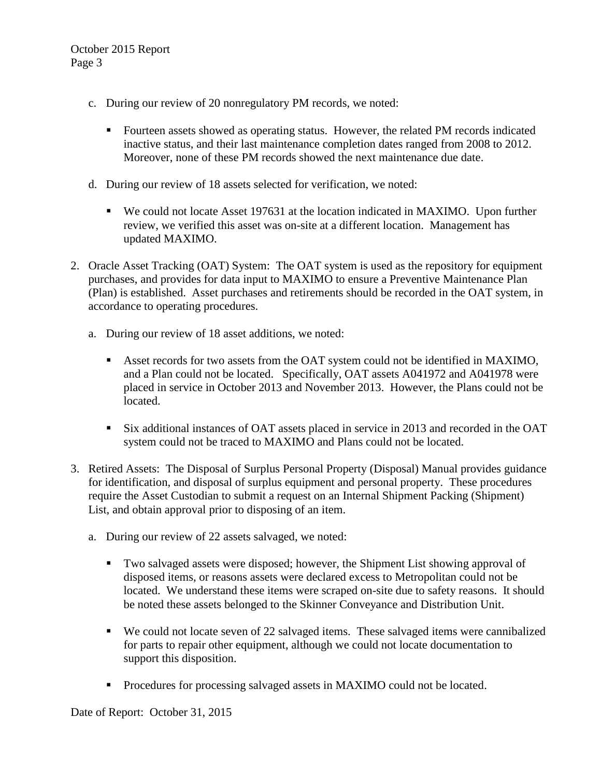- c. During our review of 20 nonregulatory PM records, we noted:
	- Fourteen assets showed as operating status. However, the related PM records indicated inactive status, and their last maintenance completion dates ranged from 2008 to 2012. Moreover, none of these PM records showed the next maintenance due date.
- d. During our review of 18 assets selected for verification, we noted:
	- We could not locate Asset 197631 at the location indicated in MAXIMO. Upon further review, we verified this asset was on-site at a different location. Management has updated MAXIMO.
- 2. Oracle Asset Tracking (OAT) System: The OAT system is used as the repository for equipment purchases, and provides for data input to MAXIMO to ensure a Preventive Maintenance Plan (Plan) is established. Asset purchases and retirements should be recorded in the OAT system, in accordance to operating procedures.
	- a. During our review of 18 asset additions, we noted:
		- Asset records for two assets from the OAT system could not be identified in MAXIMO, and a Plan could not be located. Specifically, OAT assets A041972 and A041978 were placed in service in October 2013 and November 2013. However, the Plans could not be located.
		- Six additional instances of OAT assets placed in service in 2013 and recorded in the OAT system could not be traced to MAXIMO and Plans could not be located.
- 3. Retired Assets: The Disposal of Surplus Personal Property (Disposal) Manual provides guidance for identification, and disposal of surplus equipment and personal property. These procedures require the Asset Custodian to submit a request on an Internal Shipment Packing (Shipment) List, and obtain approval prior to disposing of an item.
	- a. During our review of 22 assets salvaged, we noted:
		- Two salvaged assets were disposed; however, the Shipment List showing approval of disposed items, or reasons assets were declared excess to Metropolitan could not be located. We understand these items were scraped on-site due to safety reasons. It should be noted these assets belonged to the Skinner Conveyance and Distribution Unit.
		- We could not locate seven of 22 salvaged items. These salvaged items were cannibalized for parts to repair other equipment, although we could not locate documentation to support this disposition.
		- **Procedures for processing salvaged assets in MAXIMO could not be located.**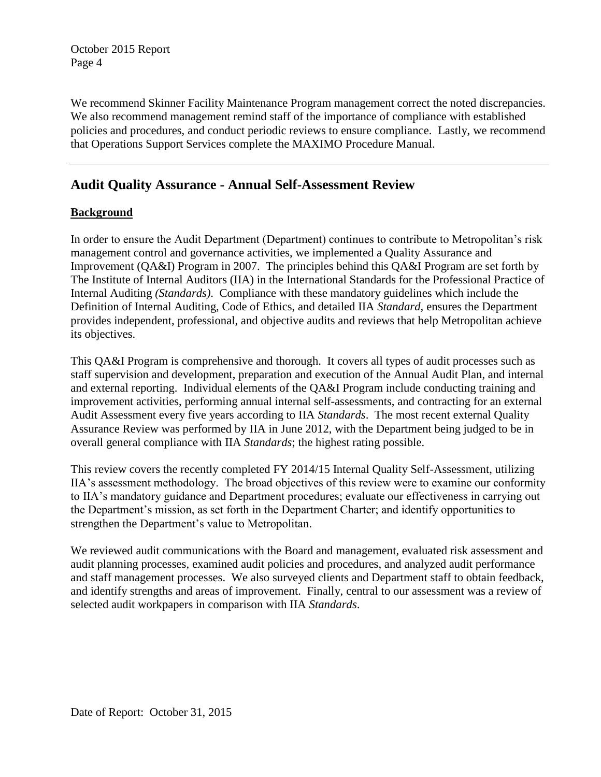October 2015 Report Page 4

We recommend Skinner Facility Maintenance Program management correct the noted discrepancies. We also recommend management remind staff of the importance of compliance with established policies and procedures, and conduct periodic reviews to ensure compliance. Lastly, we recommend that Operations Support Services complete the MAXIMO Procedure Manual.

# **Audit Quality Assurance - Annual Self-Assessment Review**

#### **Background**

In order to ensure the Audit Department (Department) continues to contribute to Metropolitan's risk management control and governance activities, we implemented a Quality Assurance and Improvement (QA&I) Program in 2007. The principles behind this QA&I Program are set forth by The Institute of Internal Auditors (IIA) in the International Standards for the Professional Practice of Internal Auditing *(Standards)*. Compliance with these mandatory guidelines which include the Definition of Internal Auditing, Code of Ethics, and detailed IIA *Standard,* ensures the Department provides independent, professional, and objective audits and reviews that help Metropolitan achieve its objectives.

This QA&I Program is comprehensive and thorough. It covers all types of audit processes such as staff supervision and development, preparation and execution of the Annual Audit Plan, and internal and external reporting. Individual elements of the QA&I Program include conducting training and improvement activities, performing annual internal self-assessments, and contracting for an external Audit Assessment every five years according to IIA *Standards*. The most recent external Quality Assurance Review was performed by IIA in June 2012, with the Department being judged to be in overall general compliance with IIA *Standards*; the highest rating possible.

This review covers the recently completed FY 2014/15 Internal Quality Self-Assessment, utilizing IIA's assessment methodology. The broad objectives of this review were to examine our conformity to IIA's mandatory guidance and Department procedures; evaluate our effectiveness in carrying out the Department's mission, as set forth in the Department Charter; and identify opportunities to strengthen the Department's value to Metropolitan.

We reviewed audit communications with the Board and management, evaluated risk assessment and audit planning processes, examined audit policies and procedures, and analyzed audit performance and staff management processes. We also surveyed clients and Department staff to obtain feedback, and identify strengths and areas of improvement. Finally, central to our assessment was a review of selected audit workpapers in comparison with IIA *Standards*.